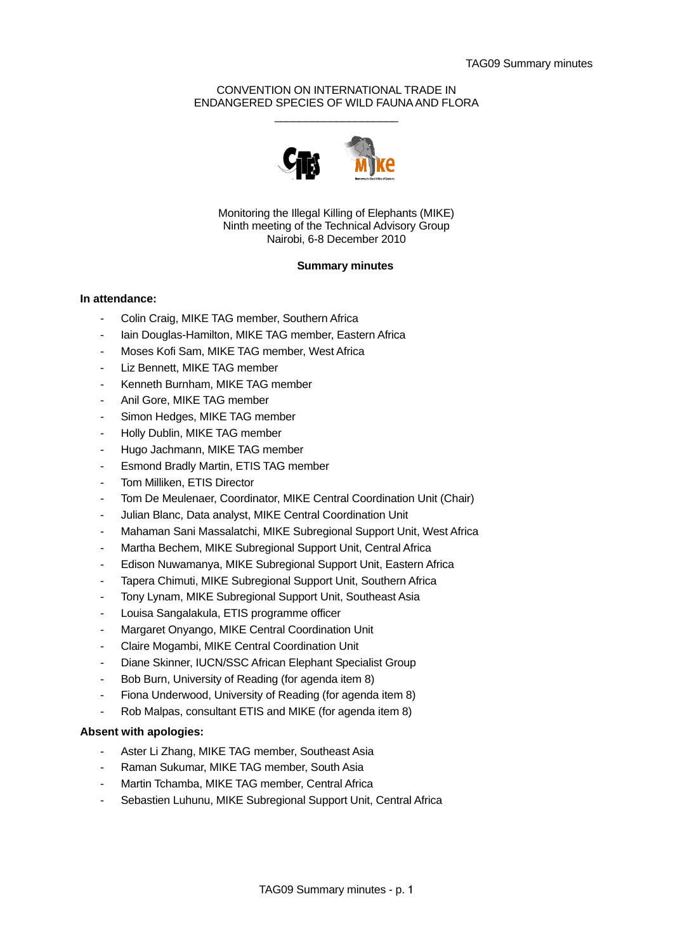## CONVENTION ON INTERNATIONAL TRADE IN ENDANGERED SPECIES OF WILD FAUNA AND FLORA  $\frac{1}{2}$  , and the set of the set of the set of the set of the set of the set of the set of the set of the set of the set of the set of the set of the set of the set of the set of the set of the set of the set of the set



Monitoring the Illegal Killing of Elephants (MIKE) Ninth meeting of the Technical Advisory Group Nairobi, 6-8 December 2010

# **Summary minutes**

## **In attendance:**

- Colin Craig, MIKE TAG member, Southern Africa
- Iain Douglas-Hamilton, MIKE TAG member, Eastern Africa
- Moses Kofi Sam, MIKE TAG member, West Africa
- Liz Bennett, MIKE TAG member
- Kenneth Burnham, MIKE TAG member
- Anil Gore, MIKE TAG member
- Simon Hedges, MIKE TAG member
- Holly Dublin, MIKE TAG member
- Hugo Jachmann, MIKE TAG member
- Esmond Bradly Martin, ETIS TAG member
- Tom Milliken, ETIS Director
- Tom De Meulenaer, Coordinator, MIKE Central Coordination Unit (Chair)
- Julian Blanc, Data analyst, MIKE Central Coordination Unit
- Mahaman Sani Massalatchi, MIKE Subregional Support Unit, West Africa
- Martha Bechem, MIKE Subregional Support Unit, Central Africa
- Edison Nuwamanya, MIKE Subregional Support Unit, Eastern Africa
- Tapera Chimuti, MIKE Subregional Support Unit, Southern Africa
- Tony Lynam, MIKE Subregional Support Unit, Southeast Asia
- Louisa Sangalakula, ETIS programme officer
- Margaret Onyango, MIKE Central Coordination Unit
- Claire Mogambi, MIKE Central Coordination Unit
- Diane Skinner, IUCN/SSC African Elephant Specialist Group
- Bob Burn, University of Reading (for agenda item 8)
- Fiona Underwood, University of Reading (for agenda item 8)
- Rob Malpas, consultant ETIS and MIKE (for agenda item 8)

# **Absent with apologies:**

- Aster Li Zhang, MIKE TAG member, Southeast Asia
- Raman Sukumar, MIKE TAG member, South Asia
- Martin Tchamba, MIKE TAG member, Central Africa
- Sebastien Luhunu, MIKE Subregional Support Unit, Central Africa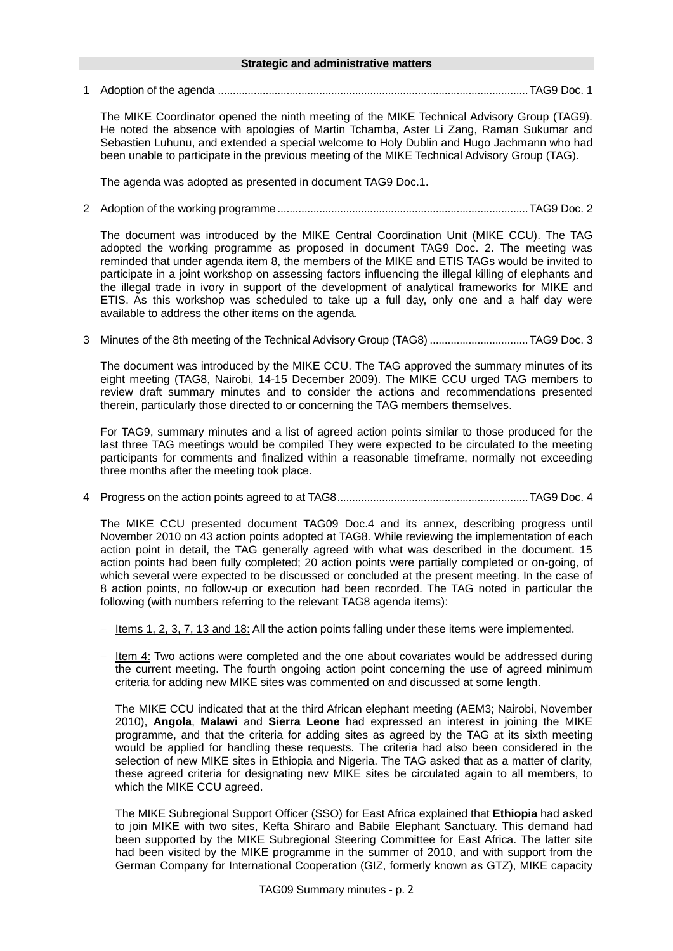#### **Strategic and administrative matters**

1 Adoption of the agenda ........................................................................................................TAG9 Doc. 1

The MIKE Coordinator opened the ninth meeting of the MIKE Technical Advisory Group (TAG9). He noted the absence with apologies of Martin Tchamba, Aster Li Zang, Raman Sukumar and Sebastien Luhunu, and extended a special welcome to Holy Dublin and Hugo Jachmann who had been unable to participate in the previous meeting of the MIKE Technical Advisory Group (TAG).

The agenda was adopted as presented in document TAG9 Doc.1.

2 Adoption of the working programme ....................................................................................TAG9 Doc. 2

The document was introduced by the MIKE Central Coordination Unit (MIKE CCU). The TAG adopted the working programme as proposed in document TAG9 Doc. 2. The meeting was reminded that under agenda item 8, the members of the MIKE and ETIS TAGs would be invited to participate in a joint workshop on assessing factors influencing the illegal killing of elephants and the illegal trade in ivory in support of the development of analytical frameworks for MIKE and ETIS. As this workshop was scheduled to take up a full day, only one and a half day were available to address the other items on the agenda.

3 Minutes of the 8th meeting of the Technical Advisory Group (TAG8) .................................TAG9 Doc. 3

The document was introduced by the MIKE CCU. The TAG approved the summary minutes of its eight meeting (TAG8, Nairobi, 14-15 December 2009). The MIKE CCU urged TAG members to review draft summary minutes and to consider the actions and recommendations presented therein, particularly those directed to or concerning the TAG members themselves.

For TAG9, summary minutes and a list of agreed action points similar to those produced for the last three TAG meetings would be compiled They were expected to be circulated to the meeting participants for comments and finalized within a reasonable timeframe, normally not exceeding three months after the meeting took place.

4 Progress on the action points agreed to at TAG8................................................................TAG9 Doc. 4

The MIKE CCU presented document TAG09 Doc.4 and its annex, describing progress until November 2010 on 43 action points adopted at TAG8. While reviewing the implementation of each action point in detail, the TAG generally agreed with what was described in the document. 15 action points had been fully completed; 20 action points were partially completed or on-going, of which several were expected to be discussed or concluded at the present meeting. In the case of 8 action points, no follow-up or execution had been recorded. The TAG noted in particular the following (with numbers referring to the relevant TAG8 agenda items):

- $-$  Items 1, 2, 3, 7, 13 and 18: All the action points falling under these items were implemented.
- $-$  Item 4: Two actions were completed and the one about covariates would be addressed during the current meeting. The fourth ongoing action point concerning the use of agreed minimum criteria for adding new MIKE sites was commented on and discussed at some length.

The MIKE CCU indicated that at the third African elephant meeting (AEM3; Nairobi, November 2010), **Angola**, **Malawi** and **Sierra Leone** had expressed an interest in joining the MIKE programme, and that the criteria for adding sites as agreed by the TAG at its sixth meeting would be applied for handling these requests. The criteria had also been considered in the selection of new MIKE sites in Ethiopia and Nigeria. The TAG asked that as a matter of clarity, these agreed criteria for designating new MIKE sites be circulated again to all members, to which the MIKE CCU agreed.

The MIKE Subregional Support Officer (SSO) for East Africa explained that **Ethiopia** had asked to join MIKE with two sites, Kefta Shiraro and Babile Elephant Sanctuary. This demand had been supported by the MIKE Subregional Steering Committee for East Africa. The latter site had been visited by the MIKE programme in the summer of 2010, and with support from the German Company for International Cooperation (GIZ, formerly known as GTZ), MIKE capacity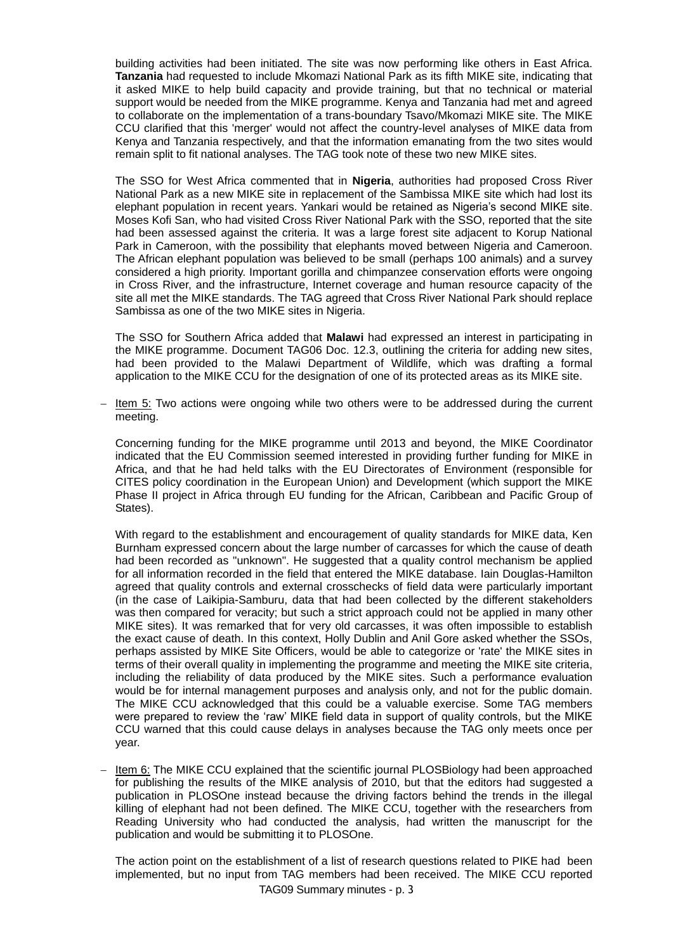building activities had been initiated. The site was now performing like others in East Africa. **Tanzania** had requested to include Mkomazi National Park as its fifth MIKE site, indicating that it asked MIKE to help build capacity and provide training, but that no technical or material support would be needed from the MIKE programme. Kenya and Tanzania had met and agreed to collaborate on the implementation of a trans-boundary Tsavo/Mkomazi MIKE site. The MIKE CCU clarified that this 'merger' would not affect the country-level analyses of MIKE data from Kenya and Tanzania respectively, and that the information emanating from the two sites would remain split to fit national analyses. The TAG took note of these two new MIKE sites.

The SSO for West Africa commented that in **Nigeria**, authorities had proposed Cross River National Park as a new MIKE site in replacement of the Sambissa MIKE site which had lost its elephant population in recent years. Yankari would be retained as Nigeria"s second MIKE site. Moses Kofi San, who had visited Cross River National Park with the SSO, reported that the site had been assessed against the criteria. It was a large forest site adjacent to Korup National Park in Cameroon, with the possibility that elephants moved between Nigeria and Cameroon. The African elephant population was believed to be small (perhaps 100 animals) and a survey considered a high priority. Important gorilla and chimpanzee conservation efforts were ongoing in Cross River, and the infrastructure, Internet coverage and human resource capacity of the site all met the MIKE standards. The TAG agreed that Cross River National Park should replace Sambissa as one of the two MIKE sites in Nigeria.

The SSO for Southern Africa added that **Malawi** had expressed an interest in participating in the MIKE programme. Document TAG06 Doc. 12.3, outlining the criteria for adding new sites, had been provided to the Malawi Department of Wildlife, which was drafting a formal application to the MIKE CCU for the designation of one of its protected areas as its MIKE site.

 Item 5: Two actions were ongoing while two others were to be addressed during the current meeting.

Concerning funding for the MIKE programme until 2013 and beyond, the MIKE Coordinator indicated that the EU Commission seemed interested in providing further funding for MIKE in Africa, and that he had held talks with the EU Directorates of Environment (responsible for CITES policy coordination in the European Union) and Development (which support the MIKE Phase II project in Africa through EU funding for the African, Caribbean and Pacific Group of States).

With regard to the establishment and encouragement of quality standards for MIKE data, Ken Burnham expressed concern about the large number of carcasses for which the cause of death had been recorded as "unknown". He suggested that a quality control mechanism be applied for all information recorded in the field that entered the MIKE database. Iain Douglas-Hamilton agreed that quality controls and external crosschecks of field data were particularly important (in the case of Laikipia-Samburu, data that had been collected by the different stakeholders was then compared for veracity; but such a strict approach could not be applied in many other MIKE sites). It was remarked that for very old carcasses, it was often impossible to establish the exact cause of death. In this context, Holly Dublin and Anil Gore asked whether the SSOs, perhaps assisted by MIKE Site Officers, would be able to categorize or 'rate' the MIKE sites in terms of their overall quality in implementing the programme and meeting the MIKE site criteria, including the reliability of data produced by the MIKE sites. Such a performance evaluation would be for internal management purposes and analysis only, and not for the public domain. The MIKE CCU acknowledged that this could be a valuable exercise. Some TAG members were prepared to review the "raw" MIKE field data in support of quality controls, but the MIKE CCU warned that this could cause delays in analyses because the TAG only meets once per year.

 Item 6: The MIKE CCU explained that the scientific journal PLOSBiology had been approached for publishing the results of the MIKE analysis of 2010, but that the editors had suggested a publication in PLOSOne instead because the driving factors behind the trends in the illegal killing of elephant had not been defined. The MIKE CCU, together with the researchers from Reading University who had conducted the analysis, had written the manuscript for the publication and would be submitting it to PLOSOne.

TAG09 Summary minutes - p. 3 The action point on the establishment of a list of research questions related to PIKE had been implemented, but no input from TAG members had been received. The MIKE CCU reported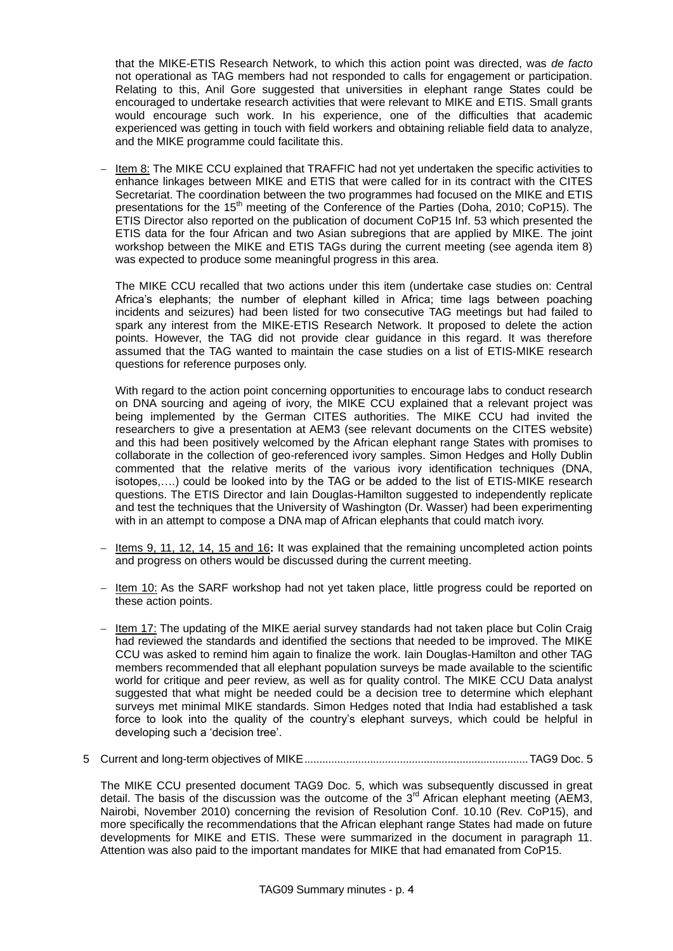that the MIKE-ETIS Research Network, to which this action point was directed, was *de facto* not operational as TAG members had not responded to calls for engagement or participation. Relating to this, Anil Gore suggested that universities in elephant range States could be encouraged to undertake research activities that were relevant to MIKE and ETIS. Small grants would encourage such work. In his experience, one of the difficulties that academic experienced was getting in touch with field workers and obtaining reliable field data to analyze, and the MIKE programme could facilitate this.

- Item 8: The MIKE CCU explained that TRAFFIC had not yet undertaken the specific activities to enhance linkages between MIKE and ETIS that were called for in its contract with the CITES Secretariat. The coordination between the two programmes had focused on the MIKE and ETIS presentations for the 15<sup>th</sup> meeting of the Conference of the Parties (Doha, 2010; CoP15). The ETIS Director also reported on the publication of document CoP15 Inf. 53 which presented the ETIS data for the four African and two Asian subregions that are applied by MIKE. The joint workshop between the MIKE and ETIS TAGs during the current meeting (see agenda item 8) was expected to produce some meaningful progress in this area.

The MIKE CCU recalled that two actions under this item (undertake case studies on: Central Africa"s elephants; the number of elephant killed in Africa; time lags between poaching incidents and seizures) had been listed for two consecutive TAG meetings but had failed to spark any interest from the MIKE-ETIS Research Network. It proposed to delete the action points. However, the TAG did not provide clear guidance in this regard. It was therefore assumed that the TAG wanted to maintain the case studies on a list of ETIS-MIKE research questions for reference purposes only.

With regard to the action point concerning opportunities to encourage labs to conduct research on DNA sourcing and ageing of ivory, the MIKE CCU explained that a relevant project was being implemented by the German CITES authorities. The MIKE CCU had invited the researchers to give a presentation at AEM3 (see relevant documents on the CITES website) and this had been positively welcomed by the African elephant range States with promises to collaborate in the collection of geo-referenced ivory samples. Simon Hedges and Holly Dublin commented that the relative merits of the various ivory identification techniques (DNA, isotopes,….) could be looked into by the TAG or be added to the list of ETIS-MIKE research questions. The ETIS Director and Iain Douglas-Hamilton suggested to independently replicate and test the techniques that the University of Washington (Dr. Wasser) had been experimenting with in an attempt to compose a DNA map of African elephants that could match ivory.

- Items 9, 11, 12, 14, 15 and 16**:** It was explained that the remaining uncompleted action points and progress on others would be discussed during the current meeting.
- Item 10: As the SARF workshop had not yet taken place, little progress could be reported on these action points.
- Item 17: The updating of the MIKE aerial survey standards had not taken place but Colin Craig had reviewed the standards and identified the sections that needed to be improved. The MIKE CCU was asked to remind him again to finalize the work. Iain Douglas-Hamilton and other TAG members recommended that all elephant population surveys be made available to the scientific world for critique and peer review, as well as for quality control. The MIKE CCU Data analyst suggested that what might be needed could be a decision tree to determine which elephant surveys met minimal MIKE standards. Simon Hedges noted that India had established a task force to look into the quality of the country"s elephant surveys, which could be helpful in developing such a 'decision tree'.
- 5 Current and long-term objectives of MIKE...........................................................................TAG9 Doc. 5

The MIKE CCU presented document TAG9 Doc. 5, which was subsequently discussed in great detail. The basis of the discussion was the outcome of the 3<sup>rd</sup> African elephant meeting (AEM3, Nairobi, November 2010) concerning the revision of Resolution Conf. 10.10 (Rev. CoP15), and more specifically the recommendations that the African elephant range States had made on future developments for MIKE and ETIS. These were summarized in the document in paragraph 11. Attention was also paid to the important mandates for MIKE that had emanated from CoP15.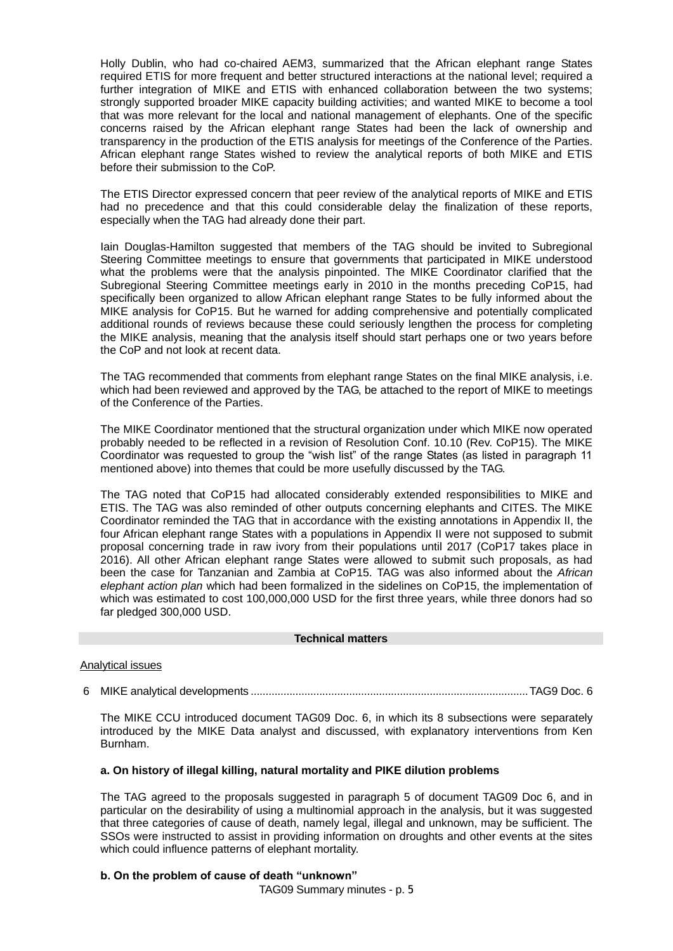Holly Dublin, who had co-chaired AEM3, summarized that the African elephant range States required ETIS for more frequent and better structured interactions at the national level; required a further integration of MIKE and ETIS with enhanced collaboration between the two systems; strongly supported broader MIKE capacity building activities; and wanted MIKE to become a tool that was more relevant for the local and national management of elephants. One of the specific concerns raised by the African elephant range States had been the lack of ownership and transparency in the production of the ETIS analysis for meetings of the Conference of the Parties. African elephant range States wished to review the analytical reports of both MIKE and ETIS before their submission to the CoP.

The ETIS Director expressed concern that peer review of the analytical reports of MIKE and ETIS had no precedence and that this could considerable delay the finalization of these reports, especially when the TAG had already done their part.

Iain Douglas-Hamilton suggested that members of the TAG should be invited to Subregional Steering Committee meetings to ensure that governments that participated in MIKE understood what the problems were that the analysis pinpointed. The MIKE Coordinator clarified that the Subregional Steering Committee meetings early in 2010 in the months preceding CoP15, had specifically been organized to allow African elephant range States to be fully informed about the MIKE analysis for CoP15. But he warned for adding comprehensive and potentially complicated additional rounds of reviews because these could seriously lengthen the process for completing the MIKE analysis, meaning that the analysis itself should start perhaps one or two years before the CoP and not look at recent data.

The TAG recommended that comments from elephant range States on the final MIKE analysis, i.e. which had been reviewed and approved by the TAG, be attached to the report of MIKE to meetings of the Conference of the Parties.

The MIKE Coordinator mentioned that the structural organization under which MIKE now operated probably needed to be reflected in a revision of Resolution Conf. 10.10 (Rev. CoP15). The MIKE Coordinator was requested to group the "wish list" of the range States (as listed in paragraph 11 mentioned above) into themes that could be more usefully discussed by the TAG.

The TAG noted that CoP15 had allocated considerably extended responsibilities to MIKE and ETIS. The TAG was also reminded of other outputs concerning elephants and CITES. The MIKE Coordinator reminded the TAG that in accordance with the existing annotations in Appendix II, the four African elephant range States with a populations in Appendix II were not supposed to submit proposal concerning trade in raw ivory from their populations until 2017 (CoP17 takes place in 2016). All other African elephant range States were allowed to submit such proposals, as had been the case for Tanzanian and Zambia at CoP15. TAG was also informed about the *African elephant action plan* which had been formalized in the sidelines on CoP15, the implementation of which was estimated to cost 100,000,000 USD for the first three years, while three donors had so far pledged 300,000 USD.

#### **Technical matters**

### Analytical issues

6 MIKE analytical developments .............................................................................................TAG9 Doc. 6

The MIKE CCU introduced document TAG09 Doc. 6, in which its 8 subsections were separately introduced by the MIKE Data analyst and discussed, with explanatory interventions from Ken Burnham.

### **a. On history of illegal killing, natural mortality and PIKE dilution problems**

The TAG agreed to the proposals suggested in paragraph 5 of document TAG09 Doc 6, and in particular on the desirability of using a multinomial approach in the analysis, but it was suggested that three categories of cause of death, namely legal, illegal and unknown, may be sufficient. The SSOs were instructed to assist in providing information on droughts and other events at the sites which could influence patterns of elephant mortality.

### TAG09 Summary minutes - p. 5 **b. On the problem of cause of death "unknown"**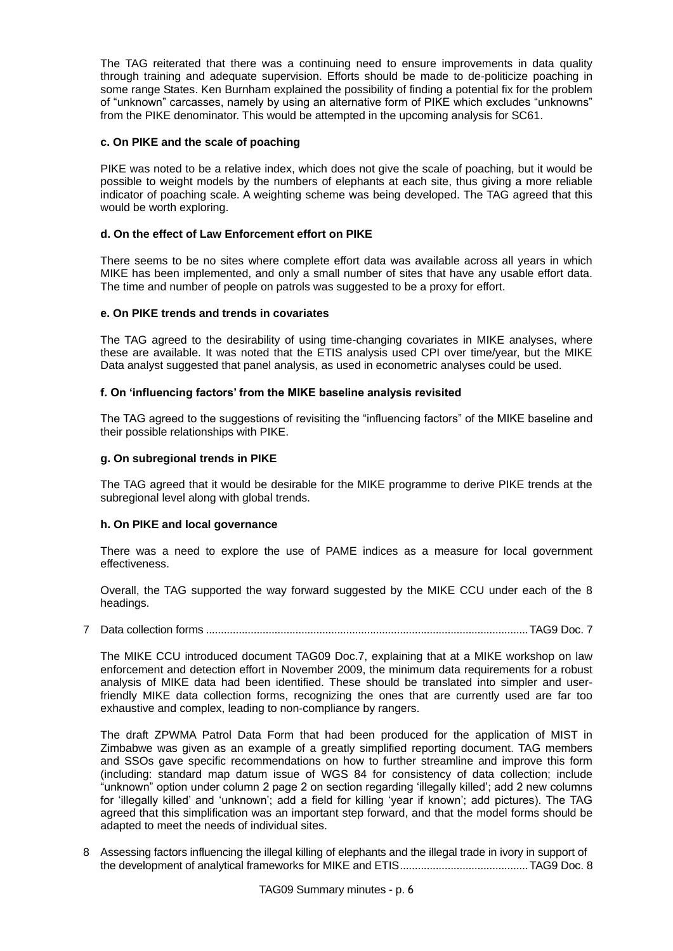The TAG reiterated that there was a continuing need to ensure improvements in data quality through training and adequate supervision. Efforts should be made to de-politicize poaching in some range States. Ken Burnham explained the possibility of finding a potential fix for the problem of "unknown" carcasses, namely by using an alternative form of PIKE which excludes "unknowns" from the PIKE denominator. This would be attempted in the upcoming analysis for SC61.

# **c. On PIKE and the scale of poaching**

PIKE was noted to be a relative index, which does not give the scale of poaching, but it would be possible to weight models by the numbers of elephants at each site, thus giving a more reliable indicator of poaching scale. A weighting scheme was being developed. The TAG agreed that this would be worth exploring.

## **d. On the effect of Law Enforcement effort on PIKE**

There seems to be no sites where complete effort data was available across all years in which MIKE has been implemented, and only a small number of sites that have any usable effort data. The time and number of people on patrols was suggested to be a proxy for effort.

## **e. On PIKE trends and trends in covariates**

The TAG agreed to the desirability of using time-changing covariates in MIKE analyses, where these are available. It was noted that the ETIS analysis used CPI over time/year, but the MIKE Data analyst suggested that panel analysis, as used in econometric analyses could be used.

## **f. On "influencing factors" from the MIKE baseline analysis revisited**

The TAG agreed to the suggestions of revisiting the "influencing factors" of the MIKE baseline and their possible relationships with PIKE.

## **g. On subregional trends in PIKE**

The TAG agreed that it would be desirable for the MIKE programme to derive PIKE trends at the subregional level along with global trends.

# **h. On PIKE and local governance**

There was a need to explore the use of PAME indices as a measure for local government effectiveness.

Overall, the TAG supported the way forward suggested by the MIKE CCU under each of the 8 headings.

7 Data collection forms ............................................................................................................TAG9 Doc. 7

The MIKE CCU introduced document TAG09 Doc.7, explaining that at a MIKE workshop on law enforcement and detection effort in November 2009, the minimum data requirements for a robust analysis of MIKE data had been identified. These should be translated into simpler and userfriendly MIKE data collection forms, recognizing the ones that are currently used are far too exhaustive and complex, leading to non-compliance by rangers.

The draft ZPWMA Patrol Data Form that had been produced for the application of MIST in Zimbabwe was given as an example of a greatly simplified reporting document. TAG members and SSOs gave specific recommendations on how to further streamline and improve this form (including: standard map datum issue of WGS 84 for consistency of data collection; include "unknown" option under column 2 page 2 on section regarding "illegally killed"; add 2 new columns for 'illegally killed' and 'unknown'; add a field for killing 'year if known'; add pictures). The TAG agreed that this simplification was an important step forward, and that the model forms should be adapted to meet the needs of individual sites.

8 Assessing factors influencing the illegal killing of elephants and the illegal trade in ivory in support of the development of analytical frameworks for MIKE and ETIS...........................................TAG9 Doc. 8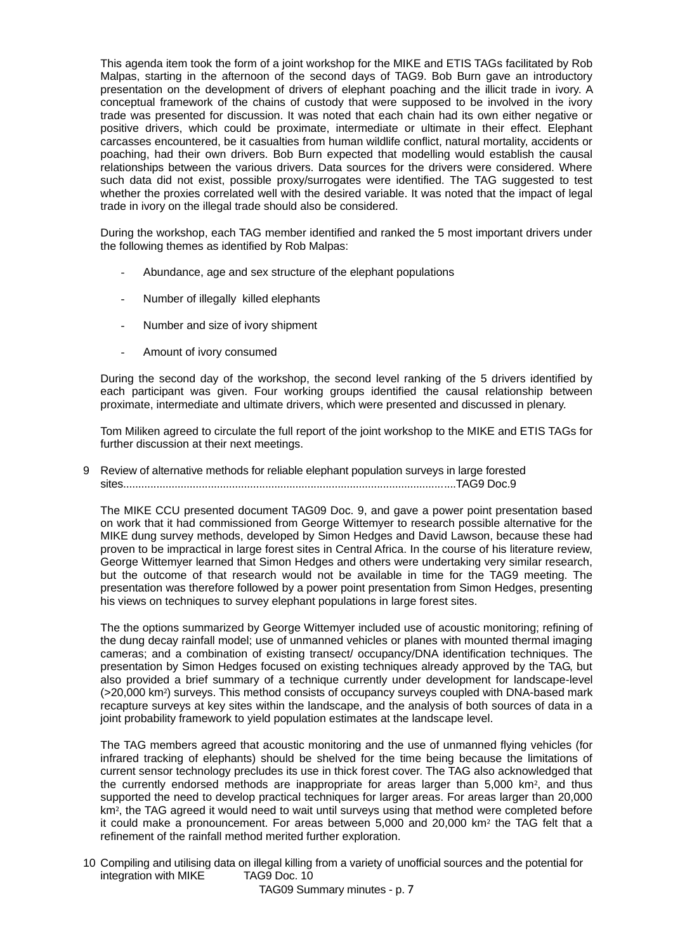This agenda item took the form of a joint workshop for the MIKE and ETIS TAGs facilitated by Rob Malpas, starting in the afternoon of the second days of TAG9. Bob Burn gave an introductory presentation on the development of drivers of elephant poaching and the illicit trade in ivory. A conceptual framework of the chains of custody that were supposed to be involved in the ivory trade was presented for discussion. It was noted that each chain had its own either negative or positive drivers, which could be proximate, intermediate or ultimate in their effect. Elephant carcasses encountered, be it casualties from human wildlife conflict, natural mortality, accidents or poaching, had their own drivers. Bob Burn expected that modelling would establish the causal relationships between the various drivers. Data sources for the drivers were considered. Where such data did not exist, possible proxy/surrogates were identified. The TAG suggested to test whether the proxies correlated well with the desired variable. It was noted that the impact of legal trade in ivory on the illegal trade should also be considered.

During the workshop, each TAG member identified and ranked the 5 most important drivers under the following themes as identified by Rob Malpas:

- Abundance, age and sex structure of the elephant populations
- Number of illegally killed elephants
- Number and size of ivory shipment
- Amount of ivory consumed

During the second day of the workshop, the second level ranking of the 5 drivers identified by each participant was given. Four working groups identified the causal relationship between proximate, intermediate and ultimate drivers, which were presented and discussed in plenary.

Tom Miliken agreed to circulate the full report of the joint workshop to the MIKE and ETIS TAGs for further discussion at their next meetings.

9 Review of alternative methods for reliable elephant population surveys in large forested sites..............................................................................................................TAG9 Doc.9

The MIKE CCU presented document TAG09 Doc. 9, and gave a power point presentation based on work that it had commissioned from George Wittemyer to research possible alternative for the MIKE dung survey methods, developed by Simon Hedges and David Lawson, because these had proven to be impractical in large forest sites in Central Africa. In the course of his literature review, George Wittemyer learned that Simon Hedges and others were undertaking very similar research, but the outcome of that research would not be available in time for the TAG9 meeting. The presentation was therefore followed by a power point presentation from Simon Hedges, presenting his views on techniques to survey elephant populations in large forest sites.

The the options summarized by George Wittemyer included use of acoustic monitoring; refining of the dung decay rainfall model; use of unmanned vehicles or planes with mounted thermal imaging cameras; and a combination of existing transect/ occupancy/DNA identification techniques. The presentation by Simon Hedges focused on existing techniques already approved by the TAG, but also provided a brief summary of a technique currently under development for landscape-level (>20,000 km²) surveys. This method consists of occupancy surveys coupled with DNA-based mark recapture surveys at key sites within the landscape, and the analysis of both sources of data in a joint probability framework to yield population estimates at the landscape level.

The TAG members agreed that acoustic monitoring and the use of unmanned flying vehicles (for infrared tracking of elephants) should be shelved for the time being because the limitations of current sensor technology precludes its use in thick forest cover. The TAG also acknowledged that the currently endorsed methods are inappropriate for areas larger than 5,000 km², and thus supported the need to develop practical techniques for larger areas. For areas larger than 20,000 km<sup>2</sup>, the TAG agreed it would need to wait until surveys using that method were completed before it could make a pronouncement. For areas between 5,000 and 20,000 km² the TAG felt that a refinement of the rainfall method merited further exploration.

10 Compiling and utilising data on illegal killing from a variety of unofficial sources and the potential for integration with MIKE TAG9 Doc. 10

TAG09 Summary minutes - p. 7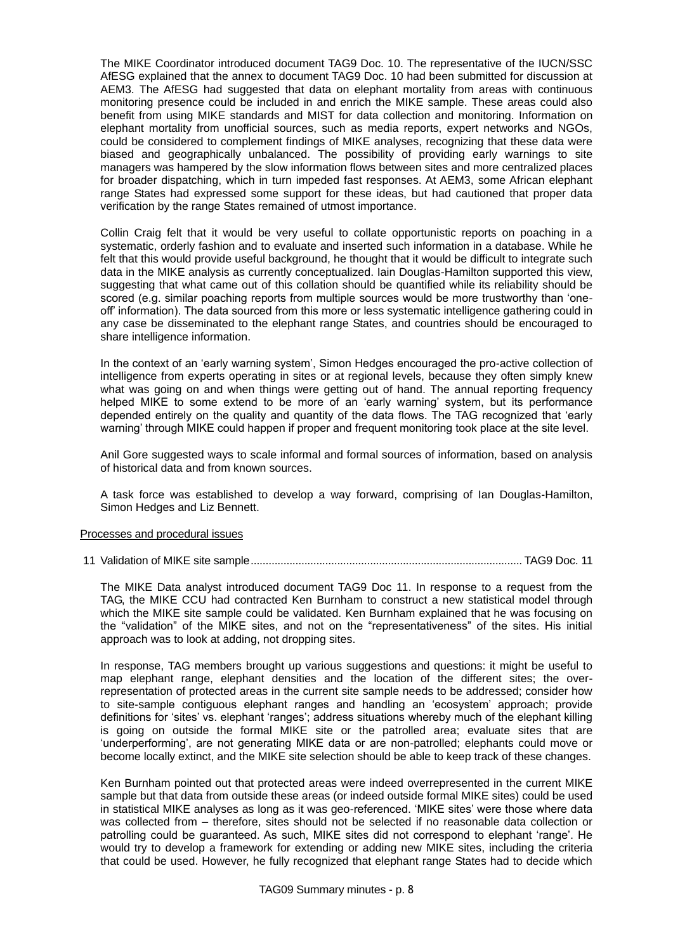The MIKE Coordinator introduced document TAG9 Doc. 10. The representative of the IUCN/SSC AfESG explained that the annex to document TAG9 Doc. 10 had been submitted for discussion at AEM3. The AfESG had suggested that data on elephant mortality from areas with continuous monitoring presence could be included in and enrich the MIKE sample. These areas could also benefit from using MIKE standards and MIST for data collection and monitoring. Information on elephant mortality from unofficial sources, such as media reports, expert networks and NGOs, could be considered to complement findings of MIKE analyses, recognizing that these data were biased and geographically unbalanced. The possibility of providing early warnings to site managers was hampered by the slow information flows between sites and more centralized places for broader dispatching, which in turn impeded fast responses. At AEM3, some African elephant range States had expressed some support for these ideas, but had cautioned that proper data verification by the range States remained of utmost importance.

Collin Craig felt that it would be very useful to collate opportunistic reports on poaching in a systematic, orderly fashion and to evaluate and inserted such information in a database. While he felt that this would provide useful background, he thought that it would be difficult to integrate such data in the MIKE analysis as currently conceptualized. Iain Douglas-Hamilton supported this view, suggesting that what came out of this collation should be quantified while its reliability should be scored (e.g. similar poaching reports from multiple sources would be more trustworthy than 'oneoff" information). The data sourced from this more or less systematic intelligence gathering could in any case be disseminated to the elephant range States, and countries should be encouraged to share intelligence information.

In the context of an 'early warning system', Simon Hedges encouraged the pro-active collection of intelligence from experts operating in sites or at regional levels, because they often simply knew what was going on and when things were getting out of hand. The annual reporting frequency helped MIKE to some extend to be more of an 'early warning' system, but its performance depended entirely on the quality and quantity of the data flows. The TAG recognized that "early warning" through MIKE could happen if proper and frequent monitoring took place at the site level.

Anil Gore suggested ways to scale informal and formal sources of information, based on analysis of historical data and from known sources.

A task force was established to develop a way forward, comprising of Ian Douglas-Hamilton, Simon Hedges and Liz Bennett.

#### Processes and procedural issues

11 Validation of MIKE site sample........................................................................................... TAG9 Doc. 11

The MIKE Data analyst introduced document TAG9 Doc 11. In response to a request from the TAG, the MIKE CCU had contracted Ken Burnham to construct a new statistical model through which the MIKE site sample could be validated. Ken Burnham explained that he was focusing on the "validation" of the MIKE sites, and not on the "representativeness" of the sites. His initial approach was to look at adding, not dropping sites.

In response, TAG members brought up various suggestions and questions: it might be useful to map elephant range, elephant densities and the location of the different sites; the overrepresentation of protected areas in the current site sample needs to be addressed; consider how to site-sample contiguous elephant ranges and handling an "ecosystem" approach; provide definitions for 'sites' vs. elephant 'ranges'; address situations whereby much of the elephant killing is going on outside the formal MIKE site or the patrolled area; evaluate sites that are 'underperforming', are not generating MIKE data or are non-patrolled; elephants could move or become locally extinct, and the MIKE site selection should be able to keep track of these changes.

Ken Burnham pointed out that protected areas were indeed overrepresented in the current MIKE sample but that data from outside these areas (or indeed outside formal MIKE sites) could be used in statistical MIKE analyses as long as it was geo-referenced. "MIKE sites" were those where data was collected from – therefore, sites should not be selected if no reasonable data collection or patrolling could be guaranteed. As such, MIKE sites did not correspond to elephant "range". He would try to develop a framework for extending or adding new MIKE sites, including the criteria that could be used. However, he fully recognized that elephant range States had to decide which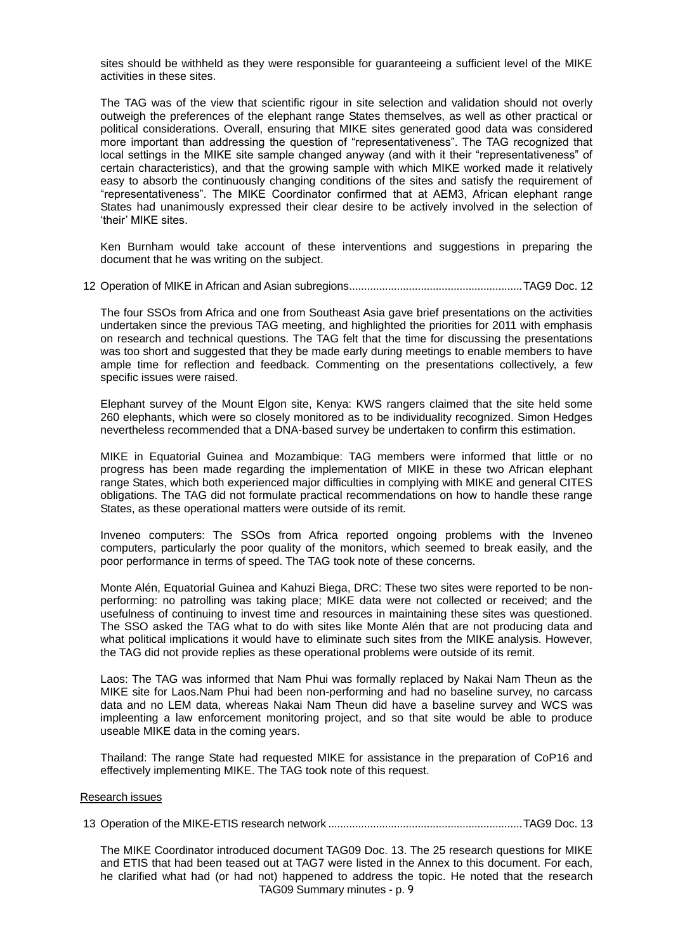sites should be withheld as they were responsible for guaranteeing a sufficient level of the MIKE activities in these sites.

The TAG was of the view that scientific rigour in site selection and validation should not overly outweigh the preferences of the elephant range States themselves, as well as other practical or political considerations. Overall, ensuring that MIKE sites generated good data was considered more important than addressing the question of "representativeness". The TAG recognized that local settings in the MIKE site sample changed anyway (and with it their "representativeness" of certain characteristics), and that the growing sample with which MIKE worked made it relatively easy to absorb the continuously changing conditions of the sites and satisfy the requirement of "representativeness". The MIKE Coordinator confirmed that at AEM3, African elephant range States had unanimously expressed their clear desire to be actively involved in the selection of "their" MIKE sites.

Ken Burnham would take account of these interventions and suggestions in preparing the document that he was writing on the subject.

12 Operation of MIKE in African and Asian subregions..........................................................TAG9 Doc. 12

The four SSOs from Africa and one from Southeast Asia gave brief presentations on the activities undertaken since the previous TAG meeting, and highlighted the priorities for 2011 with emphasis on research and technical questions. The TAG felt that the time for discussing the presentations was too short and suggested that they be made early during meetings to enable members to have ample time for reflection and feedback. Commenting on the presentations collectively, a few specific issues were raised.

Elephant survey of the Mount Elgon site, Kenya: KWS rangers claimed that the site held some 260 elephants, which were so closely monitored as to be individuality recognized. Simon Hedges nevertheless recommended that a DNA-based survey be undertaken to confirm this estimation.

MIKE in Equatorial Guinea and Mozambique: TAG members were informed that little or no progress has been made regarding the implementation of MIKE in these two African elephant range States, which both experienced major difficulties in complying with MIKE and general CITES obligations. The TAG did not formulate practical recommendations on how to handle these range States, as these operational matters were outside of its remit.

Inveneo computers: The SSOs from Africa reported ongoing problems with the Inveneo computers, particularly the poor quality of the monitors, which seemed to break easily, and the poor performance in terms of speed. The TAG took note of these concerns.

Monte Alén, Equatorial Guinea and Kahuzi Biega, DRC: These two sites were reported to be nonperforming: no patrolling was taking place; MIKE data were not collected or received; and the usefulness of continuing to invest time and resources in maintaining these sites was questioned. The SSO asked the TAG what to do with sites like Monte Alén that are not producing data and what political implications it would have to eliminate such sites from the MIKE analysis. However, the TAG did not provide replies as these operational problems were outside of its remit.

Laos: The TAG was informed that Nam Phui was formally replaced by Nakai Nam Theun as the MIKE site for Laos.Nam Phui had been non-performing and had no baseline survey, no carcass data and no LEM data, whereas Nakai Nam Theun did have a baseline survey and WCS was impleenting a law enforcement monitoring project, and so that site would be able to produce useable MIKE data in the coming years.

Thailand: The range State had requested MIKE for assistance in the preparation of CoP16 and effectively implementing MIKE. The TAG took note of this request.

#### Research issues

13 Operation of the MIKE-ETIS research network .................................................................TAG9 Doc. 13

TAG09 Summary minutes - p. 9 The MIKE Coordinator introduced document TAG09 Doc. 13. The 25 research questions for MIKE and ETIS that had been teased out at TAG7 were listed in the Annex to this document. For each, he clarified what had (or had not) happened to address the topic. He noted that the research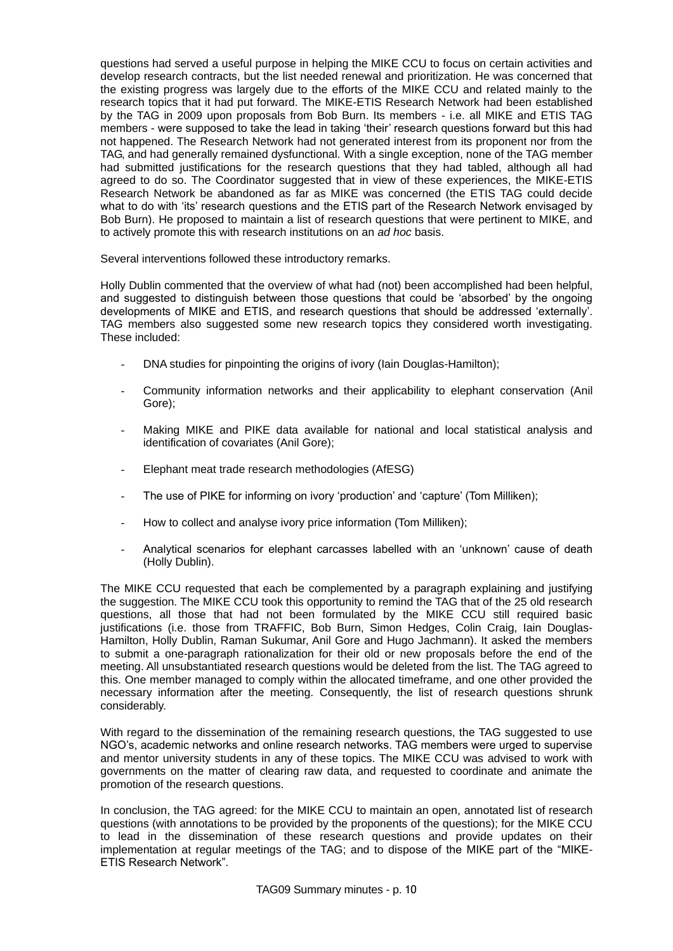questions had served a useful purpose in helping the MIKE CCU to focus on certain activities and develop research contracts, but the list needed renewal and prioritization. He was concerned that the existing progress was largely due to the efforts of the MIKE CCU and related mainly to the research topics that it had put forward. The MIKE-ETIS Research Network had been established by the TAG in 2009 upon proposals from Bob Burn. Its members - i.e. all MIKE and ETIS TAG members - were supposed to take the lead in taking "their" research questions forward but this had not happened. The Research Network had not generated interest from its proponent nor from the TAG, and had generally remained dysfunctional. With a single exception, none of the TAG member had submitted justifications for the research questions that they had tabled, although all had agreed to do so. The Coordinator suggested that in view of these experiences, the MIKE-ETIS Research Network be abandoned as far as MIKE was concerned (the ETIS TAG could decide what to do with 'its' research questions and the ETIS part of the Research Network envisaged by Bob Burn). He proposed to maintain a list of research questions that were pertinent to MIKE, and to actively promote this with research institutions on an *ad hoc* basis.

Several interventions followed these introductory remarks.

Holly Dublin commented that the overview of what had (not) been accomplished had been helpful, and suggested to distinguish between those questions that could be "absorbed" by the ongoing developments of MIKE and ETIS, and research questions that should be addressed "externally". TAG members also suggested some new research topics they considered worth investigating. These included:

- DNA studies for pinpointing the origins of ivory (Iain Douglas-Hamilton);
- Community information networks and their applicability to elephant conservation (Anil Gore);
- Making MIKE and PIKE data available for national and local statistical analysis and identification of covariates (Anil Gore);
- Elephant meat trade research methodologies (AfESG)
- The use of PIKE for informing on ivory 'production' and 'capture' (Tom Milliken);
- How to collect and analyse ivory price information (Tom Milliken);
- Analytical scenarios for elephant carcasses labelled with an 'unknown' cause of death (Holly Dublin).

The MIKE CCU requested that each be complemented by a paragraph explaining and justifying the suggestion. The MIKE CCU took this opportunity to remind the TAG that of the 25 old research questions, all those that had not been formulated by the MIKE CCU still required basic justifications (i.e. those from TRAFFIC, Bob Burn, Simon Hedges, Colin Craig, Iain Douglas-Hamilton, Holly Dublin, Raman Sukumar, Anil Gore and Hugo Jachmann). It asked the members to submit a one-paragraph rationalization for their old or new proposals before the end of the meeting. All unsubstantiated research questions would be deleted from the list. The TAG agreed to this. One member managed to comply within the allocated timeframe, and one other provided the necessary information after the meeting. Consequently, the list of research questions shrunk considerably.

With regard to the dissemination of the remaining research questions, the TAG suggested to use NGO"s, academic networks and online research networks. TAG members were urged to supervise and mentor university students in any of these topics. The MIKE CCU was advised to work with governments on the matter of clearing raw data, and requested to coordinate and animate the promotion of the research questions.

In conclusion, the TAG agreed: for the MIKE CCU to maintain an open, annotated list of research questions (with annotations to be provided by the proponents of the questions); for the MIKE CCU to lead in the dissemination of these research questions and provide updates on their implementation at regular meetings of the TAG; and to dispose of the MIKE part of the "MIKE-ETIS Research Network".